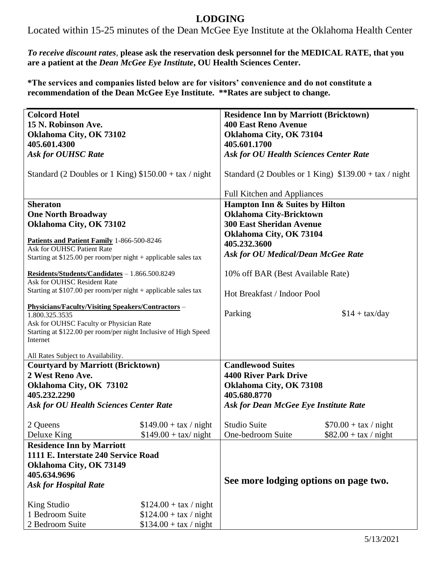## **LODGING**

Located within 15-25 minutes of the Dean McGee Eye Institute at the Oklahoma Health Center

*To receive discount rates*, **please ask the reservation desk personnel for the MEDICAL RATE, that you are a patient at the** *Dean McGee Eye Institute***, OU Health Sciences Center.**

**\*The services and companies listed below are for visitors' convenience and do not constitute a recommendation of the Dean McGee Eye Institute. \*\*Rates are subject to change.**

| <b>Colcord Hotel</b>                                                          |                         | <b>Residence Inn by Marriott (Bricktown)</b>           |                        |
|-------------------------------------------------------------------------------|-------------------------|--------------------------------------------------------|------------------------|
| 15 N. Robinson Ave.                                                           |                         | <b>400 East Reno Avenue</b>                            |                        |
| Oklahoma City, OK 73102                                                       |                         | Oklahoma City, OK 73104                                |                        |
| 405.601.4300                                                                  |                         | 405.601.1700                                           |                        |
| <b>Ask for OUHSC Rate</b>                                                     |                         | <b>Ask for OU Health Sciences Center Rate</b>          |                        |
|                                                                               |                         |                                                        |                        |
| Standard (2 Doubles or 1 King) $$150.00 + tax / night$                        |                         | Standard (2 Doubles or 1 King) $$139.00 + tax / night$ |                        |
|                                                                               |                         |                                                        |                        |
|                                                                               |                         | <b>Full Kitchen and Appliances</b>                     |                        |
| <b>Sheraton</b>                                                               |                         | Hampton Inn & Suites by Hilton                         |                        |
| <b>One North Broadway</b>                                                     |                         | <b>Oklahoma City-Bricktown</b>                         |                        |
| Oklahoma City, OK 73102                                                       |                         | <b>300 East Sheridan Avenue</b>                        |                        |
|                                                                               |                         | Oklahoma City, OK 73104                                |                        |
| Patients and Patient Family 1-866-500-8246<br>Ask for OUHSC Patient Rate      |                         | 405.232.3600                                           |                        |
| Starting at \$125.00 per room/per night + applicable sales tax                |                         | <b>Ask for OU Medical/Dean McGee Rate</b>              |                        |
|                                                                               |                         |                                                        |                        |
| Residents/Students/Candidates - 1.866.500.8249<br>Ask for OUHSC Resident Rate |                         | 10% off BAR (Best Available Rate)                      |                        |
| Starting at \$107.00 per room/per night + applicable sales tax                |                         |                                                        |                        |
|                                                                               |                         | Hot Breakfast / Indoor Pool                            |                        |
| <b>Physicians/Faculty/Visiting Speakers/Contractors -</b>                     |                         |                                                        |                        |
| 1.800.325.3535                                                                |                         | Parking                                                | $$14 + tax/day$        |
| Ask for OUHSC Faculty or Physician Rate                                       |                         |                                                        |                        |
| Starting at \$122.00 per room/per night Inclusive of High Speed<br>Internet   |                         |                                                        |                        |
|                                                                               |                         |                                                        |                        |
| All Rates Subject to Availability.                                            |                         |                                                        |                        |
| <b>Courtyard by Marriott (Bricktown)</b>                                      |                         | <b>Candlewood Suites</b>                               |                        |
| 2 West Reno Ave.                                                              |                         | <b>4400 River Park Drive</b>                           |                        |
| Oklahoma City, OK 73102                                                       |                         | Oklahoma City, OK 73108                                |                        |
| 405.232.2290                                                                  |                         | 405.680.8770                                           |                        |
| <b>Ask for OU Health Sciences Center Rate</b>                                 |                         | <b>Ask for Dean McGee Eye Institute Rate</b>           |                        |
| 2 Queens                                                                      | $$149.00 + tax / night$ | Studio Suite                                           | $$70.00 + tax / night$ |
| Deluxe King                                                                   | $$149.00 + tax/$ night  | One-bedroom Suite                                      | $$82.00 + tax / night$ |
| <b>Residence Inn by Marriott</b>                                              |                         |                                                        |                        |
| 1111 E. Interstate 240 Service Road                                           |                         |                                                        |                        |
| Oklahoma City, OK 73149                                                       |                         |                                                        |                        |
| 405.634.9696                                                                  |                         |                                                        |                        |
| <b>Ask for Hospital Rate</b>                                                  |                         | See more lodging options on page two.                  |                        |
|                                                                               |                         |                                                        |                        |
| King Studio                                                                   | $$124.00 + tax / night$ |                                                        |                        |
| 1 Bedroom Suite                                                               | $$124.00 + tax / night$ |                                                        |                        |
| 2 Bedroom Suite                                                               | $$134.00 + tax / night$ |                                                        |                        |